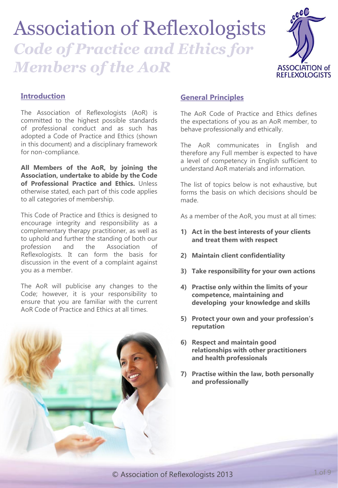# Association of Reflexologists

# *Code of Practice and Ethics for Members of the AoR*



# **Introduction**

The Association of Reflexologists (AoR) is committed to the highest possible standards of professional conduct and as such has adopted a Code of Practice and Ethics (shown in this document) and a disciplinary framework for non-compliance.

**All Members of the AoR, by joining the Association, undertake to abide by the Code of Professional Practice and Ethics.** Unless otherwise stated, each part of this code applies to all categories of membership.

This Code of Practice and Ethics is designed to encourage integrity and responsibility as a complementary therapy practitioner, as well as to uphold and further the standing of both our profession and the Association of Reflexologists. It can form the basis for discussion in the event of a complaint against you as a member.

The AoR will publicise any changes to the Code; however, it is your responsibility to ensure that you are familiar with the current AoR Code of Practice and Ethics at all times.



# **General Principles**

The AoR Code of Practice and Ethics defines the expectations of you as an AoR member, to behave professionally and ethically.

The AoR communicates in English and therefore any Full member is expected to have a level of competency in English sufficient to understand AoR materials and information.

The list of topics below is not exhaustive, but forms the basis on which decisions should be made.

As a member of the AoR, you must at all times:

- **1) Act in the best interests of your clients and treat them with respect**
- **2) Maintain client confidentiality**
- **3) Take responsibility for your own actions**
- **4) Practise only within the limits of your competence, maintaining and developing your knowledge and skills**
- **5) Protect your own and your profession's reputation**
- **6) Respect and maintain good relationships with other practitioners and health professionals**
- **7) Practise within the law, both personally and professionally**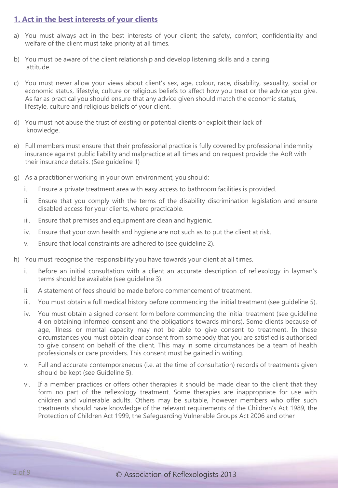# **1. Act in the best interests of your clients**

- a) You must always act in the best interests of your client; the safety, comfort, confidentiality and welfare of the client must take priority at all times.
- b) You must be aware of the client relationship and develop listening skills and a caring attitude.
- c) You must never allow your views about client's sex, age, colour, race, disability, sexuality, social or economic status, lifestyle, culture or religious beliefs to affect how you treat or the advice you give. As far as practical you should ensure that any advice given should match the economic status, lifestyle, culture and religious beliefs of your client.
- d) You must not abuse the trust of existing or potential clients or exploit their lack of knowledge.
- e) Full members must ensure that their professional practice is fully covered by professional indemnity insurance against public liability and malpractice at all times and on request provide the AoR with their insurance details. (See guideline 1)
- g) As a practitioner working in your own environment, you should:
	- i. Ensure a private treatment area with easy access to bathroom facilities is provided.
	- ii. Ensure that you comply with the terms of the disability discrimination legislation and ensure disabled access for your clients, where practicable.
	- iii. Ensure that premises and equipment are clean and hygienic.
	- iv. Ensure that your own health and hygiene are not such as to put the client at risk.
	- v. Ensure that local constraints are adhered to (see guideline 2).
- h) You must recognise the responsibility you have towards your client at all times.
	- i. Before an initial consultation with a client an accurate description of reflexology in layman's terms should be available (see guideline 3).
	- ii. A statement of fees should be made before commencement of treatment.
	- iii. You must obtain a full medical history before commencing the initial treatment (see guideline 5).
	- iv. You must obtain a signed consent form before commencing the initial treatment (see guideline 4 on obtaining informed consent and the obligations towards minors). Some clients because of age, illness or mental capacity may not be able to give consent to treatment. In these circumstances you must obtain clear consent from somebody that you are satisfied is authorised to give consent on behalf of the client. This may in some circumstances be a team of health professionals or care providers. This consent must be gained in writing.
	- v. Full and accurate contemporaneous (i.e. at the time of consultation) records of treatments given should be kept (see Guideline 5).
	- vi. If a member practices or offers other therapies it should be made clear to the client that they form no part of the reflexology treatment. Some therapies are inappropriate for use with children and vulnerable adults. Others may be suitable, however members who offer such treatments should have knowledge of the relevant requirements of the Children's Act 1989, the Protection of Children Act 1999, the Safeguarding Vulnerable Groups Act 2006 and other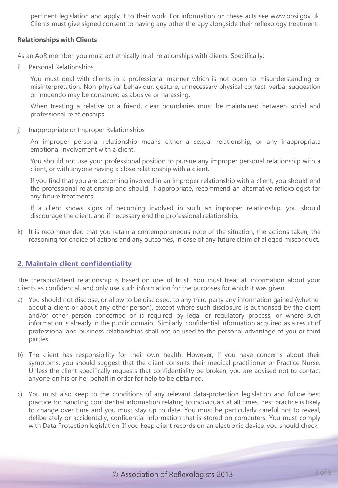pertinent legislation and apply it to their work. For information on these acts see www.opsi.gov.uk. Clients must give signed consent to having any other therapy alongside their reflexology treatment.

# **Relationships with Clients**

As an AoR member, you must act ethically in all relationships with clients. Specifically:

i) Personal Relationships

You must deal with clients in a professional manner which is not open to misunderstanding or misinterpretation. Non-physical behaviour, gesture, unnecessary physical contact, verbal suggestion or innuendo may be construed as abusive or harassing.

When treating a relative or a friend, clear boundaries must be maintained between social and professional relationships.

j) Inappropriate or Improper Relationships

An improper personal relationship means either a sexual relationship, or any inappropriate emotional involvement with a client.

You should not use your professional position to pursue any improper personal relationship with a client, or with anyone having a close relationship with a client.

If you find that you are becoming involved in an improper relationship with a client, you should end the professional relationship and should, if appropriate, recommend an alternative reflexologist for any future treatments.

If a client shows signs of becoming involved in such an improper relationship, you should discourage the client, and if necessary end the professional relationship.

k) It is recommended that you retain a contemporaneous note of the situation, the actions taken, the reasoning for choice of actions and any outcomes, in case of any future claim of alleged misconduct.

# **2. Maintain client confidentiality**

The therapist/client relationship is based on one of trust. You must treat all information about your clients as confidential, and only use such information for the purposes for which it was given.

- a) You should not disclose, or allow to be disclosed, to any third party any information gained (whether about a client or about any other person), except where such disclosure is authorised by the client and/or other person concerned or is required by legal or regulatory process, or where such information is already in the public domain. Similarly, confidential information acquired as a result of professional and business relationships shall not be used to the personal advantage of you or third parties.
- b) The client has responsibility for their own health. However, if you have concerns about their symptoms, you should suggest that the client consults their medical practitioner or Practice Nurse. Unless the client specifically requests that confidentiality be broken, you are advised not to contact anyone on his or her behalf in order for help to be obtained.
- c) You must also keep to the conditions of any relevant data-protection legislation and follow best practice for handling confidential information relating to individuals at all times. Best practice is likely to change over time and you must stay up to date. You must be particularly careful not to reveal, deliberately or accidentally, confidential information that is stored on computers. You must comply with Data Protection legislation. If you keep client records on an electronic device, you should check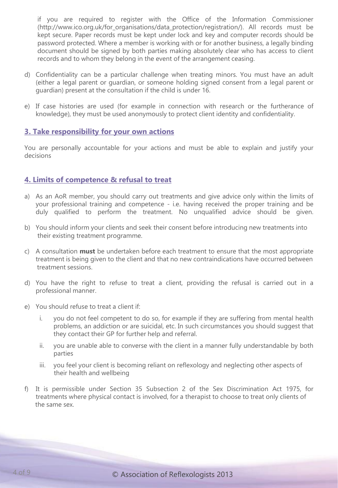if you are required to register with the Office of the Information Commissioner (http://www.ico.org.uk/for\_organisations/data\_protection/registration/). All records must be kept secure. Paper records must be kept under lock and key and computer records should be password protected. Where a member is working with or for another business, a legally binding document should be signed by both parties making absolutely clear who has access to client records and to whom they belong in the event of the arrangement ceasing.

- d) Confidentiality can be a particular challenge when treating minors. You must have an adult (either a legal parent or guardian, or someone holding signed consent from a legal parent or guardian) present at the consultation if the child is under 16.
- e) If case histories are used (for example in connection with research or the furtherance of knowledge), they must be used anonymously to protect client identity and confidentiality.

# **3. Take responsibility for your own actions**

You are personally accountable for your actions and must be able to explain and justify your decisions

# **4. Limits of competence & refusal to treat**

- a) As an AoR member, you should carry out treatments and give advice only within the limits of your professional training and competence - i.e. having received the proper training and be duly qualified to perform the treatment. No unqualified advice should be given.
- b) You should inform your clients and seek their consent before introducing new treatments into their existing treatment programme.
- c) A consultation **must** be undertaken before each treatment to ensure that the most appropriate treatment is being given to the client and that no new contraindications have occurred between treatment sessions.
- d) You have the right to refuse to treat a client, providing the refusal is carried out in a professional manner.
- e) You should refuse to treat a client if:
	- i. you do not feel competent to do so, for example if they are suffering from mental health problems, an addiction or are suicidal, etc. In such circumstances you should suggest that they contact their GP for further help and referral.
	- ii. you are unable able to converse with the client in a manner fully understandable by both parties
	- iii. you feel your client is becoming reliant on reflexology and neglecting other aspects of their health and wellbeing
- f) It is permissible under Section 35 Subsection 2 of the Sex Discrimination Act 1975, for treatments where physical contact is involved, for a therapist to choose to treat only clients of the same sex.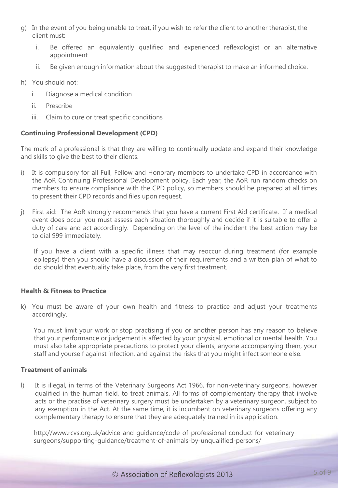- g) In the event of you being unable to treat, if you wish to refer the client to another therapist, the client must:
	- i. Be offered an equivalently qualified and experienced reflexologist or an alternative appointment
	- ii. Be given enough information about the suggested therapist to make an informed choice.
- h) You should not:
	- i. Diagnose a medical condition
	- ii. Prescribe
	- iii. Claim to cure or treat specific conditions

# **Continuing Professional Development (CPD)**

The mark of a professional is that they are willing to continually update and expand their knowledge and skills to give the best to their clients.

- i) It is compulsory for all Full, Fellow and Honorary members to undertake CPD in accordance with the AoR Continuing Professional Development policy. Each year, the AoR run random checks on members to ensure compliance with the CPD policy, so members should be prepared at all times to present their CPD records and files upon request.
- j) First aid: The AoR strongly recommends that you have a current First Aid certificate. If a medical event does occur you must assess each situation thoroughly and decide if it is suitable to offer a duty of care and act accordingly. Depending on the level of the incident the best action may be to dial 999 immediately.

If you have a client with a specific illness that may reoccur during treatment (for example epilepsy) then you should have a discussion of their requirements and a written plan of what to do should that eventuality take place, from the very first treatment.

# **Health & Fitness to Practice**

k) You must be aware of your own health and fitness to practice and adjust your treatments accordingly.

You must limit your work or stop practising if you or another person has any reason to believe that your performance or judgement is affected by your physical, emotional or mental health. You must also take appropriate precautions to protect your clients, anyone accompanying them, your staff and yourself against infection, and against the risks that you might infect someone else.

#### **Treatment of animals**

l) It is illegal, in terms of the Veterinary Surgeons Act 1966, for non-veterinary surgeons, however qualified in the human field, to treat animals. All forms of complementary therapy that involve acts or the practise of veterinary surgery must be undertaken by a veterinary surgeon, subject to any exemption in the Act. At the same time, it is incumbent on veterinary surgeons offering any complementary therapy to ensure that they are adequately trained in its application.

http://www.rcvs.org.uk/advice-and-guidance/code-of-professional-conduct-for-veterinarysurgeons/supporting-guidance/treatment-of-animals-by-unqualified-persons/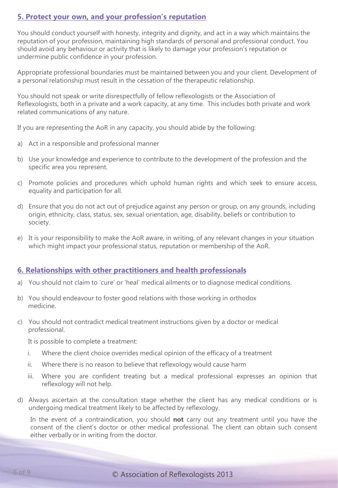# **5. Protect your own, and your profession's reputation**

You should conduct yourself with honesty, integrity and dignity, and act in a way which maintains the reputation of your profession, maintaining high standards of personal and professional conduct. You should avoid any behaviour or activity that is likely to damage your profession's reputation or undermine public confidence in your profession.

Appropriate professional boundaries must be maintained between you and your client. Development of a personal relationship must result in the cessation of the therapeutic relationship.

You should not speak or write disrespectfully of fellow reflexologists or the Association of Reflexologists, both in a private and a work capacity, at any time. This includes both private and work related communications of any nature.

If you are representing the AoR in any capacity, you should abide by the following:

- a) Act in a responsible and professional manner
- b) Use your knowledge and experience to contribute to the development of the profession and the specific area you represent.
- c) Promote policies and procedures which uphold human rights and which seek to ensure access, equality and participation for all.
- d) Ensure that you do not act out of prejudice against any person or group, on any grounds, including origin, ethnicity, class, status, sex, sexual orientation, age, disability, beliefs or contribution to society.
- e) It is your responsibility to make the AoR aware, in writing, of any relevant changes in your situation which might impact your professional status, reputation or membership of the AoR.

# **6. Relationships with other practitioners and health professionals**

- a) You should not claim to 'cure' or 'heal' medical ailments or to diagnose medical conditions.
- b) You should endeavour to foster good relations with those working in orthodox medicine.
- c) You should not contradict medical treatment instructions given by a doctor or medical professional.

It is possible to complete a treatment:

- i. Where the client choice overrides medical opinion of the efficacy of a treatment
- ii. Where there is no reason to believe that reflexology would cause harm
- iii. Where you are confident treating but a medical professional expresses an opinion that reflexology will not help.
- d) Always ascertain at the consultation stage whether the client has any medical conditions or is undergoing medical treatment likely to be affected by reflexology.

In the event of a contraindication, you should **not** carry out any treatment until you have the consent of the client's doctor or other medical professional. The client can obtain such consent either verbally or in writing from the doctor.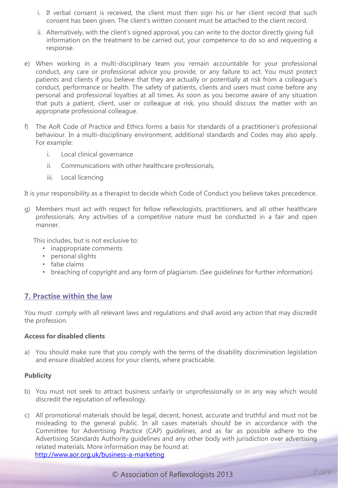- i. If verbal consent is received, the client must then sign his or her client record that such consent has been given. The client's written consent must be attached to the client record.
- ii. Alternatively, with the client's signed approval, you can write to the doctor directly giving full information on the treatment to be carried out, your competence to do so and requesting a response.
- e) When working in a multi-disciplinary team you remain accountable for your professional conduct, any care or professional advice you provide, or any failure to act. You must protect patients and clients if you believe that they are actually or potentially at risk from a colleague's conduct, performance or health. The safety of patients, clients and users must come before any personal and professional loyalties at all times. As soon as you become aware of any situation that puts a patient, client, user or colleague at risk, you should discuss the matter with an appropriate professional colleague.
- f) The AoR Code of Practice and Ethics forms a basis for standards of a practitioner's professional behaviour. In a multi-disciplinary environment, additional standards and Codes may also apply. For example:
	- i. Local clinical governance
	- ii. Communications with other healthcare professionals,
	- iii. Local licencing

It is your responsibility as a therapist to decide which Code of Conduct you believe takes precedence.

g) Members must act with respect for fellow reflexologists, practitioners, and all other healthcare professionals. Any activities of a competitive nature must be conducted in a fair and open manner.

This includes, but is not exclusive to:

- inappropriate comments
- personal slights
- false claims
- breaching of copyright and any form of plagiarism. (See guidelines for further information)

# **7. Practise within the law**

You must comply with all relevant laws and regulations and shall avoid any action that may discredit the profession.

#### **Access for disabled clients**

a) You should make sure that you comply with the terms of the disability discrimination legislation and ensure disabled access for your clients, where practicable.

# **Publicity**

- b) You must not seek to attract business unfairly or unprofessionally or in any way which would discredit the reputation of reflexology.
- c) All promotional materials should be legal, decent, honest, accurate and truthful and must not be misleading to the general public. In all cases materials should be in accordance with the Committee for Advertising Practice (CAP) guidelines, and as far as possible adhere to the Advertising Standards Authority guidelines and any other body with jurisdiction over advertising related materials. More information may be found at: <http://www.aor.org.uk/business-a-marketing>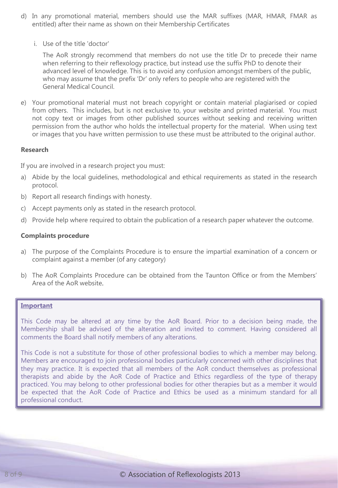- d) In any promotional material, members should use the MAR suffixes (MAR, HMAR, FMAR as entitled) after their name as shown on their Membership Certificates
	- i. Use of the title 'doctor'

The AoR strongly recommend that members do not use the title Dr to precede their name when referring to their reflexology practice, but instead use the suffix PhD to denote their advanced level of knowledge. This is to avoid any confusion amongst members of the public, who may assume that the prefix 'Dr' only refers to people who are registered with the General Medical Council.

e) Your promotional material must not breach copyright or contain material plagiarised or copied from others. This includes, but is not exclusive to, your website and printed material. You must not copy text or images from other published sources without seeking and receiving written permission from the author who holds the intellectual property for the material. When using text or images that you have written permission to use these must be attributed to the original author.

#### **Research**

If you are involved in a research project you must:

- a) Abide by the local guidelines, methodological and ethical requirements as stated in the research protocol.
- b) Report all research findings with honesty.
- c) Accept payments only as stated in the research protocol.
- d) Provide help where required to obtain the publication of a research paper whatever the outcome.

#### **Complaints procedure**

- a) The purpose of the Complaints Procedure is to ensure the impartial examination of a concern or complaint against a member (of any category)
- b) The AoR Complaints Procedure can be obtained from the Taunton Office or from the Members' Area of the AoR website.

#### **Important**

This Code may be altered at any time by the AoR Board. Prior to a decision being made, the Membership shall be advised of the alteration and invited to comment. Having considered all comments the Board shall notify members of any alterations.

This Code is not a substitute for those of other professional bodies to which a member may belong. Members are encouraged to join professional bodies particularly concerned with other disciplines that they may practice. It is expected that all members of the AoR conduct themselves as professional therapists and abide by the AoR Code of Practice and Ethics regardless of the type of therapy practiced. You may belong to other professional bodies for other therapies but as a member it would be expected that the AoR Code of Practice and Ethics be used as a minimum standard for all professional conduct.